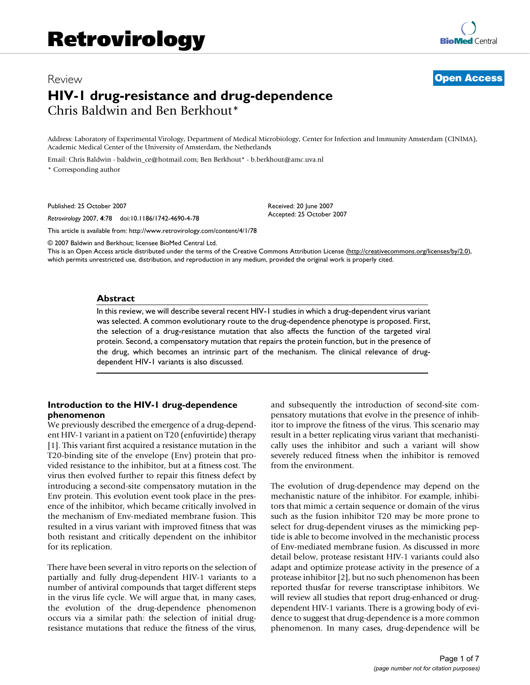# Review **[Open Access](http://www.biomedcentral.com/info/about/charter/) HIV-1 drug-resistance and drug-dependence** Chris Baldwin and Ben Berkhout\*

Address: Laboratory of Experimental Virology, Department of Medical Microbiology, Center for Infection and Immunity Amsterdam (CINIMA), Academic Medical Center of the University of Amsterdam, the Netherlands

> Received: 20 June 2007 Accepted: 25 October 2007

Email: Chris Baldwin - baldwin\_ce@hotmail.com; Ben Berkhout\* - b.berkhout@amc.uva.nl \* Corresponding author

Published: 25 October 2007

*Retrovirology* 2007, **4**:78 doi:10.1186/1742-4690-4-78

[This article is available from: http://www.retrovirology.com/content/4/1/78](http://www.retrovirology.com/content/4/1/78)

© 2007 Baldwin and Berkhout; licensee BioMed Central Ltd.

This is an Open Access article distributed under the terms of the Creative Commons Attribution License [\(http://creativecommons.org/licenses/by/2.0\)](http://creativecommons.org/licenses/by/2.0), which permits unrestricted use, distribution, and reproduction in any medium, provided the original work is properly cited.

#### **Abstract**

In this review, we will describe several recent HIV-1 studies in which a drug-dependent virus variant was selected. A common evolutionary route to the drug-dependence phenotype is proposed. First, the selection of a drug-resistance mutation that also affects the function of the targeted viral protein. Second, a compensatory mutation that repairs the protein function, but in the presence of the drug, which becomes an intrinsic part of the mechanism. The clinical relevance of drugdependent HIV-1 variants is also discussed.

#### **Introduction to the HIV-1 drug-dependence phenomenon**

We previously described the emergence of a drug-dependent HIV-1 variant in a patient on T20 (enfuvirtide) therapy [1]. This variant first acquired a resistance mutation in the T20-binding site of the envelope (Env) protein that provided resistance to the inhibitor, but at a fitness cost. The virus then evolved further to repair this fitness defect by introducing a second-site compensatory mutation in the Env protein. This evolution event took place in the presence of the inhibitor, which became critically involved in the mechanism of Env-mediated membrane fusion. This resulted in a virus variant with improved fitness that was both resistant and critically dependent on the inhibitor for its replication.

There have been several in vitro reports on the selection of partially and fully drug-dependent HIV-1 variants to a number of antiviral compounds that target different steps in the virus life cycle. We will argue that, in many cases, the evolution of the drug-dependence phenomenon occurs via a similar path: the selection of initial drugresistance mutations that reduce the fitness of the virus,

and subsequently the introduction of second-site compensatory mutations that evolve in the presence of inhibitor to improve the fitness of the virus. This scenario may result in a better replicating virus variant that mechanistically uses the inhibitor and such a variant will show severely reduced fitness when the inhibitor is removed from the environment.

The evolution of drug-dependence may depend on the mechanistic nature of the inhibitor. For example, inhibitors that mimic a certain sequence or domain of the virus such as the fusion inhibitor T20 may be more prone to select for drug-dependent viruses as the mimicking peptide is able to become involved in the mechanistic process of Env-mediated membrane fusion. As discussed in more detail below, protease resistant HIV-1 variants could also adapt and optimize protease activity in the presence of a protease inhibitor [2], but no such phenomenon has been reported thusfar for reverse transcriptase inhibitors. We will review all studies that report drug-enhanced or drugdependent HIV-1 variants. There is a growing body of evidence to suggest that drug-dependence is a more common phenomenon. In many cases, drug-dependence will be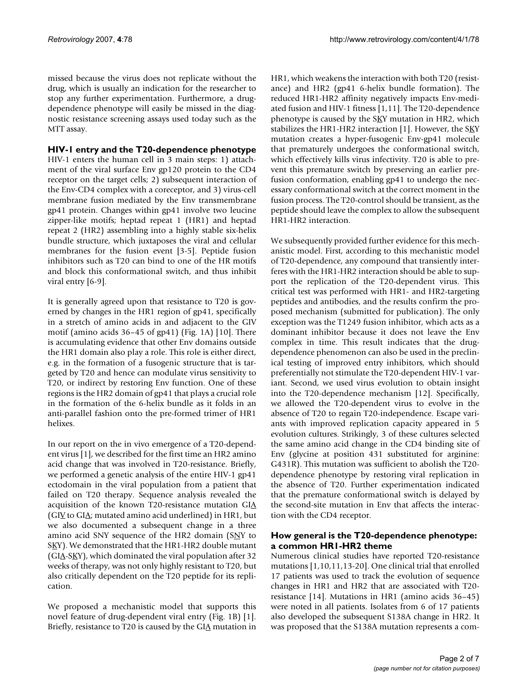missed because the virus does not replicate without the drug, which is usually an indication for the researcher to stop any further experimentation. Furthermore, a drugdependence phenotype will easily be missed in the diagnostic resistance screening assays used today such as the MTT assay.

## **HIV-1 entry and the T20-dependence phenotype**

HIV-1 enters the human cell in 3 main steps: 1) attachment of the viral surface Env gp120 protein to the CD4 receptor on the target cells; 2) subsequent interaction of the Env-CD4 complex with a coreceptor, and 3) virus-cell membrane fusion mediated by the Env transmembrane gp41 protein. Changes within gp41 involve two leucine zipper-like motifs; heptad repeat 1 (HR1) and heptad repeat 2 (HR2) assembling into a highly stable six-helix bundle structure, which juxtaposes the viral and cellular membranes for the fusion event [3-5]. Peptide fusion inhibitors such as T20 can bind to one of the HR motifs and block this conformational switch, and thus inhibit viral entry [6-9].

It is generally agreed upon that resistance to T20 is governed by changes in the HR1 region of gp41, specifically in a stretch of amino acids in and adjacent to the GIV motif (amino acids 36–45 of gp41) (Fig. 1A) [10]. There is accumulating evidence that other Env domains outside the HR1 domain also play a role. This role is either direct, e.g. in the formation of a fusogenic structure that is targeted by T20 and hence can modulate virus sensitivity to T20, or indirect by restoring Env function. One of these regions is the HR2 domain of gp41 that plays a crucial role in the formation of the 6-helix bundle as it folds in an anti-parallel fashion onto the pre-formed trimer of HR1 helixes.

In our report on the in vivo emergence of a T20-dependent virus [1], we described for the first time an HR2 amino acid change that was involved in T20-resistance. Briefly, we performed a genetic analysis of the entire HIV-1 gp41 ectodomain in the viral population from a patient that failed on T20 therapy. Sequence analysis revealed the acquisition of the known T20-resistance mutation GIA (GIV to GIA; mutated amino acid underlined) in HR1, but we also documented a subsequent change in a three amino acid SNY sequence of the HR2 domain  $(S_{N}Y)$  to SKY). We demonstrated that the HR1-HR2 double mutant (GI $A$ -SKY), which dominated the viral population after 32 weeks of therapy, was not only highly resistant to T20, but also critically dependent on the T20 peptide for its replication.

We proposed a mechanistic model that supports this novel feature of drug-dependent viral entry (Fig. 1B) [1]. Briefly, resistance to T20 is caused by the  $GIA$  mutation in HR1, which weakens the interaction with both T20 (resistance) and HR2 (gp41 6-helix bundle formation). The reduced HR1-HR2 affinity negatively impacts Env-mediated fusion and HIV-1 fitness [1,11]. The T20-dependence phenotype is caused by the SKY mutation in HR2, which stabilizes the HR1-HR2 interaction [1]. However, the SKY mutation creates a hyper-fusogenic Env-gp41 molecule that prematurely undergoes the conformational switch, which effectively kills virus infectivity. T20 is able to prevent this premature switch by preserving an earlier prefusion conformation, enabling gp41 to undergo the necessary conformational switch at the correct moment in the fusion process. The T20-control should be transient, as the peptide should leave the complex to allow the subsequent HR1-HR2 interaction.

We subsequently provided further evidence for this mechanistic model. First, according to this mechanistic model of T20-dependence, any compound that transiently interferes with the HR1-HR2 interaction should be able to support the replication of the T20-dependent virus. This critical test was performed with HR1- and HR2-targeting peptides and antibodies, and the results confirm the proposed mechanism (submitted for publication). The only exception was the T1249 fusion inhibitor, which acts as a dominant inhibitor because it does not leave the Env complex in time. This result indicates that the drugdependence phenomenon can also be used in the preclinical testing of improved entry inhibitors, which should preferentially not stimulate the T20-dependent HIV-1 variant. Second, we used virus evolution to obtain insight into the T20-dependence mechanism [12]. Specifically, we allowed the T20-dependent virus to evolve in the absence of T20 to regain T20-independence. Escape variants with improved replication capacity appeared in 5 evolution cultures. Strikingly, 3 of these cultures selected the same amino acid change in the CD4 binding site of Env (glycine at position 431 substituted for arginine: G431R). This mutation was sufficient to abolish the T20 dependence phenotype by restoring viral replication in the absence of T20. Further experimentation indicated that the premature conformational switch is delayed by the second-site mutation in Env that affects the interaction with the CD4 receptor.

#### **How general is the T20-dependence phenotype: a common HR1-HR2 theme**

Numerous clinical studies have reported T20-resistance mutations [1,10,11,13-20]. One clinical trial that enrolled 17 patients was used to track the evolution of sequence changes in HR1 and HR2 that are associated with T20 resistance [14]. Mutations in HR1 (amino acids 36–45) were noted in all patients. Isolates from 6 of 17 patients also developed the subsequent S138A change in HR2. It was proposed that the S138A mutation represents a com-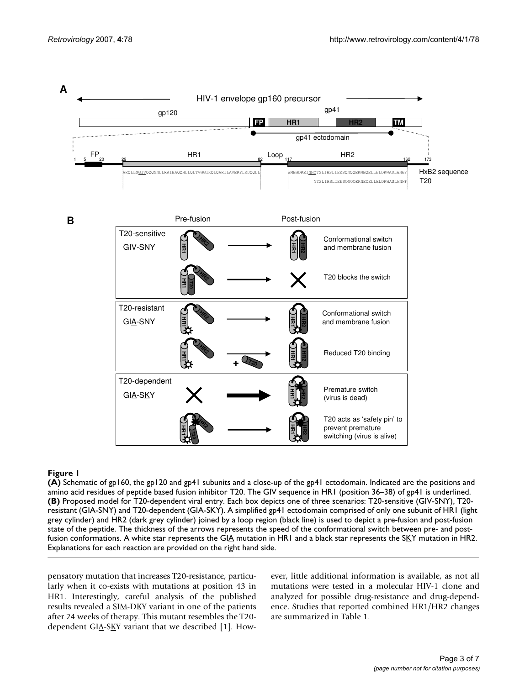

#### **(A) Figure 1** Schematic of gp<sup>1</sup>60, the gp<sup>1</sup>20 and gp<sup>2</sup>1 subunits and a close-up of the gp41 ectodomain of the gp41 ectodomain and a close-up of the gp41 ectodomain and a close-up of the gp41 ectodomain and a close-up o

**(A)** Schematic of gp160, the gp120 and gp41 subunits and a close-up of the gp41 ectodomain. Indicated are the positions and amino acid residues of peptide based fusion inhibitor T20. The GIV sequence in HR1 (position 36–38) of gp41 is underlined. **(B)** Proposed model for T20-dependent viral entry. Each box depicts one of three scenarios: T20-sensitive (GIV-SNY), T20 resistant (GIA-SNY) and T20-dependent (GIA-SKY). A simplified gp41 ectodomain comprised of only one subunit of HR1 (light grey cylinder) and HR2 (dark grey cylinder) joined by a loop region (black line) is used to depict a pre-fusion and post-fusion state of the peptide. The thickness of the arrows represents the speed of the conformational switch between pre- and postfusion conformations. A white star represents the GIA mutation in HR1 and a black star represents the SKY mutation in HR2. Explanations for each reaction are provided on the right hand side.

pensatory mutation that increases T20-resistance, particularly when it co-exists with mutations at position 43 in HR1. Interestingly, careful analysis of the published results revealed a  $\underline{SIM-DKY}$  variant in one of the patients after 24 weeks of therapy. This mutant resembles the T20 dependent GI $A-SKY$  variant that we described [1]. However, little additional information is available, as not all mutations were tested in a molecular HIV-1 clone and analyzed for possible drug-resistance and drug-dependence. Studies that reported combined HR1/HR2 changes are summarized in Table 1.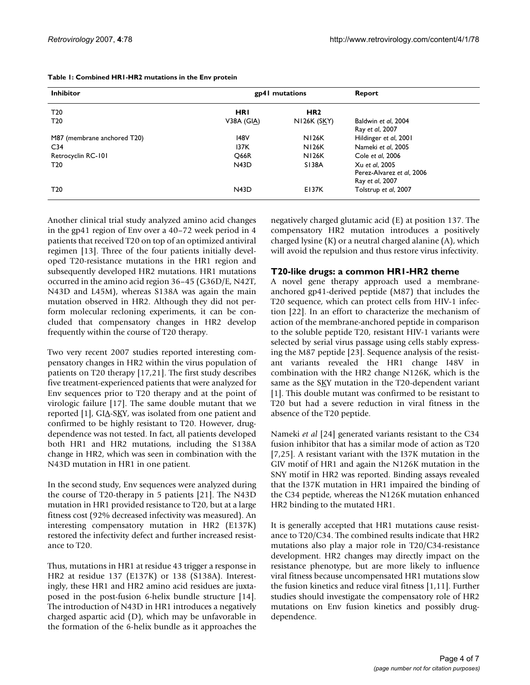| <b>Inhibitor</b>            | gp41 mutations           |                 | Report                                                         |
|-----------------------------|--------------------------|-----------------|----------------------------------------------------------------|
| <b>T20</b>                  | <b>HRI</b>               | HR <sub>2</sub> |                                                                |
| T <sub>20</sub>             | V38A $(GI\underline{A})$ | N126K (SKY)     | Baldwin et al. 2004<br>Ray et al, 2007                         |
| M87 (membrane anchored T20) | 148V                     | <b>N126K</b>    | Hildinger et al, 2001                                          |
| C <sub>34</sub>             | 137K                     | <b>N126K</b>    | Nameki et al, 2005                                             |
| Retrocyclin RC-101          | Q66R                     | <b>N126K</b>    | Cole et al, 2006                                               |
| T20                         | N <sub>43</sub> D        | <b>SI38A</b>    | Xu et al, 2005<br>Perez-Alvarez et al, 2006<br>Ray et al, 2007 |
| T <sub>20</sub>             | N <sub>4</sub> 3D        | <b>E137K</b>    | Tolstrup et al, 2007                                           |

#### **Table 1: Combined HR1-HR2 mutations in the Env protein**

Another clinical trial study analyzed amino acid changes in the gp41 region of Env over a 40–72 week period in 4 patients that received T20 on top of an optimized antiviral regimen [13]. Three of the four patients initially developed T20-resistance mutations in the HR1 region and subsequently developed HR2 mutations. HR1 mutations occurred in the amino acid region 36–45 (G36D/E, N42T, N43D and L45M), whereas S138A was again the main mutation observed in HR2. Although they did not perform molecular recloning experiments, it can be concluded that compensatory changes in HR2 develop frequently within the course of T20 therapy.

Two very recent 2007 studies reported interesting compensatory changes in HR2 within the virus population of patients on T20 therapy [17,21]. The first study describes five treatment-experienced patients that were analyzed for Env sequences prior to T20 therapy and at the point of virologic failure [17]. The same double mutant that we reported  $[1]$ , GIA-SKY, was isolated from one patient and confirmed to be highly resistant to T20. However, drugdependence was not tested. In fact, all patients developed both HR1 and HR2 mutations, including the S138A change in HR2, which was seen in combination with the N43D mutation in HR1 in one patient.

In the second study, Env sequences were analyzed during the course of T20-therapy in 5 patients [21]. The N43D mutation in HR1 provided resistance to T20, but at a large fitness cost (92% decreased infectivity was measured). An interesting compensatory mutation in HR2 (E137K) restored the infectivity defect and further increased resistance to T20.

Thus, mutations in HR1 at residue 43 trigger a response in HR2 at residue 137 (E137K) or 138 (S138A). Interestingly, these HR1 and HR2 amino acid residues are juxtaposed in the post-fusion 6-helix bundle structure [14]. The introduction of N43D in HR1 introduces a negatively charged aspartic acid (D), which may be unfavorable in the formation of the 6-helix bundle as it approaches the negatively charged glutamic acid (E) at position 137. The compensatory HR2 mutation introduces a positively charged lysine (K) or a neutral charged alanine (A), which will avoid the repulsion and thus restore virus infectivity.

#### **T20-like drugs: a common HR1-HR2 theme**

A novel gene therapy approach used a membraneanchored gp41-derived peptide (M87) that includes the T20 sequence, which can protect cells from HIV-1 infection [22]. In an effort to characterize the mechanism of action of the membrane-anchored peptide in comparison to the soluble peptide T20, resistant HIV-1 variants were selected by serial virus passage using cells stably expressing the M87 peptide [23]. Sequence analysis of the resistant variants revealed the HR1 change I48V in combination with the HR2 change N126K, which is the same as the SKY mutation in the T20-dependent variant [1]. This double mutant was confirmed to be resistant to T20 but had a severe reduction in viral fitness in the absence of the T20 peptide.

Nameki *et al* [24] generated variants resistant to the C34 fusion inhibitor that has a similar mode of action as T20 [7,25]. A resistant variant with the I37K mutation in the GIV motif of HR1 and again the N126K mutation in the SNY motif in HR2 was reported. Binding assays revealed that the I37K mutation in HR1 impaired the binding of the C34 peptide, whereas the N126K mutation enhanced HR2 binding to the mutated HR1.

It is generally accepted that HR1 mutations cause resistance to T20/C34. The combined results indicate that HR2 mutations also play a major role in T20/C34-resistance development. HR2 changes may directly impact on the resistance phenotype, but are more likely to influence viral fitness because uncompensated HR1 mutations slow the fusion kinetics and reduce viral fitness [1,11]. Further studies should investigate the compensatory role of HR2 mutations on Env fusion kinetics and possibly drugdependence.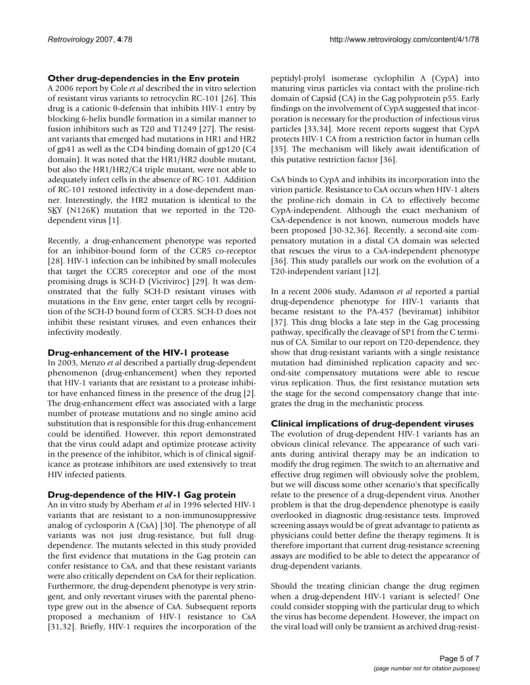## **Other drug-dependencies in the Env protein**

A 2006 report by Cole *et al* described the in vitro selection of resistant virus variants to retrocyclin RC-101 [26]. This drug is a cationic θ-defensin that inhibits HIV-1 entry by blocking 6-helix bundle formation in a similar manner to fusion inhibitors such as T20 and T1249 [27]. The resistant variants that emerged had mutations in HR1 and HR2 of gp41 as well as the CD4 binding domain of gp120 (C4 domain). It was noted that the HR1/HR2 double mutant, but also the HR1/HR2/C4 triple mutant, were not able to adequately infect cells in the absence of RC-101. Addition of RC-101 restored infectivity in a dose-dependent manner. Interestingly, the HR2 mutation is identical to the SKY (N126K) mutation that we reported in the T20dependent virus [1].

Recently, a drug-enhancement phenotype was reported for an inhibitor-bound form of the CCR5 co-receptor [28]. HIV-1 infection can be inhibited by small molecules that target the CCR5 coreceptor and one of the most promising drugs is SCH-D (Vicriviroc) [29]. It was demonstrated that the fully SCH-D resistant viruses with mutations in the Env gene, enter target cells by recognition of the SCH-D bound form of CCR5. SCH-D does not inhibit these resistant viruses, and even enhances their infectivity modestly.

## **Drug-enhancement of the HIV-1 protease**

In 2003, Menzo *et al* described a partially drug-dependent phenomenon (drug-enhancement) when they reported that HIV-1 variants that are resistant to a protease inhibitor have enhanced fitness in the presence of the drug [2]. The drug-enhancement effect was associated with a large number of protease mutations and no single amino acid substitution that is responsible for this drug-enhancement could be identified. However, this report demonstrated that the virus could adapt and optimize protease activity in the presence of the inhibitor, which is of clinical significance as protease inhibitors are used extensively to treat HIV infected patients.

## **Drug-dependence of the HIV-1 Gag protein**

An in vitro study by Aberham *et al* in 1996 selected HIV-1 variants that are resistant to a non-immunosuppressive analog of cyclosporin A (CsA) [30]. The phenotype of all variants was not just drug-resistance, but full drugdependence. The mutants selected in this study provided the first evidence that mutations in the Gag protein can confer resistance to CsA, and that these resistant variants were also critically dependent on CsA for their replication. Furthermore, the drug-dependent phenotype is very stringent, and only revertant viruses with the parental phenotype grew out in the absence of CsA. Subsequent reports proposed a mechanism of HIV-1 resistance to CsA [31,32]. Briefly, HIV-1 requires the incorporation of the peptidyl-prolyl isomerase cyclophilin A (CypA) into maturing virus particles via contact with the proline-rich domain of Capsid (CA) in the Gag polyprotein p55. Early findings on the involvement of CypA suggested that incorporation is necessary for the production of infectious virus particles [33,34]. More recent reports suggest that CypA protects HIV-1 CA from a restriction factor in human cells [35]. The mechanism will likely await identification of this putative restriction factor [36].

CsA binds to CypA and inhibits its incorporation into the virion particle. Resistance to CsA occurs when HIV-1 alters the proline-rich domain in CA to effectively become CypA-independent. Although the exact mechanism of CsA-dependence is not known, numerous models have been proposed [30-32,36]. Recently, a second-site compensatory mutation in a distal CA domain was selected that rescues the virus to a CsA-independent phenotype [36]. This study parallels our work on the evolution of a T20-independent variant [12].

In a recent 2006 study, Adamson *et al* reported a partial drug-dependence phenotype for HIV-1 variants that became resistant to the PA-457 (beviramat) inhibitor [37]. This drug blocks a late step in the Gag processing pathway, specifically the cleavage of SP1 from the C terminus of CA. Similar to our report on T20-dependence, they show that drug-resistant variants with a single resistance mutation had diminished replication capacity and second-site compensatory mutations were able to rescue virus replication. Thus, the first resistance mutation sets the stage for the second compensatory change that integrates the drug in the mechanistic process.

## **Clinical implications of drug-dependent viruses**

The evolution of drug-dependent HIV-1 variants has an obvious clinical relevance. The appearance of such variants during antiviral therapy may be an indication to modify the drug regimen. The switch to an alternative and effective drug regimen will obviously solve the problem, but we will discuss some other scenario's that specifically relate to the presence of a drug-dependent virus. Another problem is that the drug-dependence phenotype is easily overlooked in diagnostic drug-resistance tests. Improved screening assays would be of great advantage to patients as physicians could better define the therapy regimens. It is therefore important that current drug-resistance screening assays are modified to be able to detect the appearance of drug-dependent variants.

Should the treating clinician change the drug regimen when a drug-dependent HIV-1 variant is selected? One could consider stopping with the particular drug to which the virus has become dependent. However, the impact on the viral load will only be transient as archived drug-resist-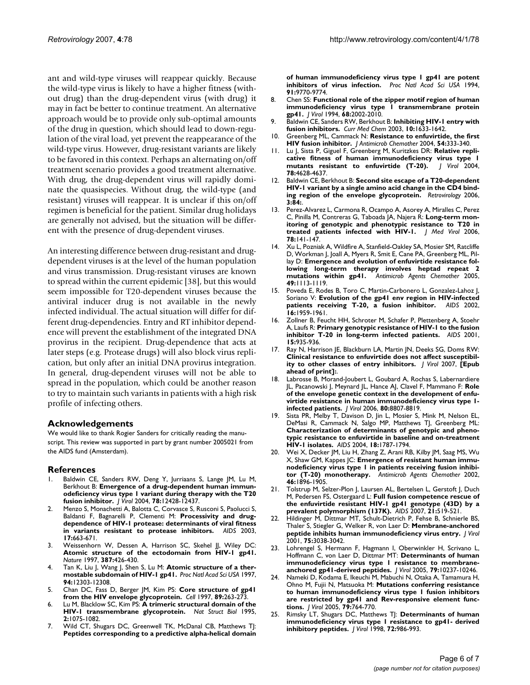ant and wild-type viruses will reappear quickly. Because the wild-type virus is likely to have a higher fitness (without drug) than the drug-dependent virus (with drug) it may in fact be better to continue treatment. An alternative approach would be to provide only sub-optimal amounts of the drug in question, which should lead to down-regulation of the viral load, yet prevent the reappearance of the wild-type virus. However, drug-resistant variants are likely to be favored in this context. Perhaps an alternating on/off treatment scenario provides a good treatment alternative. With drug, the drug-dependent virus will rapidly dominate the quasispecies. Without drug, the wild-type (and resistant) viruses will reappear. It is unclear if this on/off regimen is beneficial for the patient. Similar drug holidays are generally not advised, but the situation will be different with the presence of drug-dependent viruses.

An interesting difference between drug-resistant and drugdependent viruses is at the level of the human population and virus transmission. Drug-resistant viruses are known to spread within the current epidemic [38], but this would seem impossible for T20-dependent viruses because the antiviral inducer drug is not available in the newly infected individual. The actual situation will differ for different drug-dependencies. Entry and RT inhibitor dependence will prevent the establishment of the integrated DNA provirus in the recipient. Drug-dependence that acts at later steps (e.g. Protease drugs) will also block virus replication, but only after an initial DNA provirus integration. In general, drug-dependent viruses will not be able to spread in the population, which could be another reason to try to maintain such variants in patients with a high risk profile of infecting others.

#### **Acknowledgements**

We would like to thank Rogier Sanders for critically reading the manuscript. This review was supported in part by grant number 2005021 from the AIDS fund (Amsterdam).

#### **References**

- Baldwin CE, Sanders RW, Deng Y, Jurriaans S, Lange JM, Lu M, Berkhout B: **[Emergence of a drug-dependent human immun](http://www.ncbi.nlm.nih.gov/entrez/query.fcgi?cmd=Retrieve&db=PubMed&dopt=Abstract&list_uids=15507629)[odeficiency virus type 1 variant during therapy with the T20](http://www.ncbi.nlm.nih.gov/entrez/query.fcgi?cmd=Retrieve&db=PubMed&dopt=Abstract&list_uids=15507629) [fusion inhibitor.](http://www.ncbi.nlm.nih.gov/entrez/query.fcgi?cmd=Retrieve&db=PubMed&dopt=Abstract&list_uids=15507629)** *J Virol* 2004, **78:**12428-12437.
- 2. Menzo S, Monachetti A, Balotta C, Corvasce S, Rusconi S, Paolucci S, Baldanti F, Bagnarelli P, Clementi M: **[Processivity and drug](http://www.ncbi.nlm.nih.gov/entrez/query.fcgi?cmd=Retrieve&db=PubMed&dopt=Abstract&list_uids=12646788)[dependence of HIV-1 protease: determinants of viral fitness](http://www.ncbi.nlm.nih.gov/entrez/query.fcgi?cmd=Retrieve&db=PubMed&dopt=Abstract&list_uids=12646788) [in variants resistant to protease inhibitors.](http://www.ncbi.nlm.nih.gov/entrez/query.fcgi?cmd=Retrieve&db=PubMed&dopt=Abstract&list_uids=12646788)** *AIDS* 2003, **17:**663-671.
- 3. Weissenhorn W, Dessen A, Harrison SC, Skehel JJ, Wiley DC: **[Atomic structure of the ectodomain from HIV-1 gp41.](http://www.ncbi.nlm.nih.gov/entrez/query.fcgi?cmd=Retrieve&db=PubMed&dopt=Abstract&list_uids=9163431)** *Nature* 1997, **387:**426-430.
- 4. Tan K, Liu J, Wang J, Shen S, Lu M: **[Atomic structure of a ther](http://www.ncbi.nlm.nih.gov/entrez/query.fcgi?cmd=Retrieve&db=PubMed&dopt=Abstract&list_uids=9356444)[mostable subdomain of HIV-1 gp41.](http://www.ncbi.nlm.nih.gov/entrez/query.fcgi?cmd=Retrieve&db=PubMed&dopt=Abstract&list_uids=9356444)** *Proc Natl Acad Sci USA* 1997, **94:**12303-12308.
- 5. Chan DC, Fass D, Berger JM, Kim PS: **[Core structure of gp41](http://www.ncbi.nlm.nih.gov/entrez/query.fcgi?cmd=Retrieve&db=PubMed&dopt=Abstract&list_uids=9108481) [from the HIV envelope glycoprotein.](http://www.ncbi.nlm.nih.gov/entrez/query.fcgi?cmd=Retrieve&db=PubMed&dopt=Abstract&list_uids=9108481)** *Cell* 1997, **89:**263-273.
- 6. Lu M, Blacklow SC, Kim PS: **[A trimeric structural domain of the](http://www.ncbi.nlm.nih.gov/entrez/query.fcgi?cmd=Retrieve&db=PubMed&dopt=Abstract&list_uids=8846219) [HIV-1 transmembrane glycoprotein.](http://www.ncbi.nlm.nih.gov/entrez/query.fcgi?cmd=Retrieve&db=PubMed&dopt=Abstract&list_uids=8846219)** *Nat Struct Biol* 1995, **2:**1075-1082.
- 7. Wild CT, Shugars DC, Greenwell TK, McDanal CB, Matthews TJ: **[Peptides corresponding to a predictive alpha-helical domain](http://www.ncbi.nlm.nih.gov/entrez/query.fcgi?cmd=Retrieve&db=PubMed&dopt=Abstract&list_uids=7937889)**

**[of human immunodeficiency virus type 1 gp41 are potent](http://www.ncbi.nlm.nih.gov/entrez/query.fcgi?cmd=Retrieve&db=PubMed&dopt=Abstract&list_uids=7937889) [inhibitors of virus infection.](http://www.ncbi.nlm.nih.gov/entrez/query.fcgi?cmd=Retrieve&db=PubMed&dopt=Abstract&list_uids=7937889)** *Proc Natl Acad Sci USA* 1994, **91:**9770-9774.

- 8. Chen SS: **[Functional role of the zipper motif region of human](http://www.ncbi.nlm.nih.gov/entrez/query.fcgi?cmd=Retrieve&db=PubMed&dopt=Abstract&list_uids=7509005) [immunodeficiency virus type 1 transmembrane protein](http://www.ncbi.nlm.nih.gov/entrez/query.fcgi?cmd=Retrieve&db=PubMed&dopt=Abstract&list_uids=7509005) [gp41.](http://www.ncbi.nlm.nih.gov/entrez/query.fcgi?cmd=Retrieve&db=PubMed&dopt=Abstract&list_uids=7509005)** *J Virol* 1994, **68:**2002-2010.
- 9. Baldwin CE, Sanders RW, Berkhout B: **[Inhibiting HIV-1 entry with](http://www.ncbi.nlm.nih.gov/entrez/query.fcgi?cmd=Retrieve&db=PubMed&dopt=Abstract&list_uids=12871113) [fusion inhibitors.](http://www.ncbi.nlm.nih.gov/entrez/query.fcgi?cmd=Retrieve&db=PubMed&dopt=Abstract&list_uids=12871113)** *Curr Med Chem* 2003, **10:**1633-1642.
- 10. Greenberg ML, Cammack N: **[Resistance to enfuvirtide, the first](http://www.ncbi.nlm.nih.gov/entrez/query.fcgi?cmd=Retrieve&db=PubMed&dopt=Abstract&list_uids=15231762) [HIV fusion inhibitor.](http://www.ncbi.nlm.nih.gov/entrez/query.fcgi?cmd=Retrieve&db=PubMed&dopt=Abstract&list_uids=15231762)** *J Antimicrob Chemother* 2004, **54:**333-340.
- 11. Lu J, Sista P, Giguel F, Greenberg M, Kuritzkes DR: **[Relative repli](http://www.ncbi.nlm.nih.gov/entrez/query.fcgi?cmd=Retrieve&db=PubMed&dopt=Abstract&list_uids=15078945)**cative fitness of human immunodeficiency virus type I<br>mutants resistant to enfuvirtide (T-20). *J Virol* 2004, [mutants resistant to enfuvirtide \(T-20\).](http://www.ncbi.nlm.nih.gov/entrez/query.fcgi?cmd=Retrieve&db=PubMed&dopt=Abstract&list_uids=15078945) **78:**4628-4637.
- Baldwin CE, Berkhout B: Second site escape of a T20-dependent **HIV-1 variant by a single amino acid change in the CD4 binding region of the envelope glycoprotein.** *Retrovirology* 2006, **3:84:**.
- 13. Perez-Alvarez L, Carmona R, Ocampo A, Asorey A, Miralles C, Perez C, Pinilla M, Contreras G, Taboada JA, Najera R: **[Long-term mon](http://www.ncbi.nlm.nih.gov/entrez/query.fcgi?cmd=Retrieve&db=PubMed&dopt=Abstract&list_uids=16372284)[itoring of genotypic and phenotypic resistance to T20 in](http://www.ncbi.nlm.nih.gov/entrez/query.fcgi?cmd=Retrieve&db=PubMed&dopt=Abstract&list_uids=16372284) [treated patients infected with HIV-1.](http://www.ncbi.nlm.nih.gov/entrez/query.fcgi?cmd=Retrieve&db=PubMed&dopt=Abstract&list_uids=16372284)** *J Med Virol* 2006, **78:**141-147.
- 14. Xu L, Pozniak A, Wildfire A, Stanfield-Oakley SA, Mosier SM, Ratcliffe D, Workman J, Joall A, Myers R, Smit E, Cane PA, Greenberg ML, Pillay D: **[Emergence and evolution of enfuvirtide resistance fol](http://www.ncbi.nlm.nih.gov/entrez/query.fcgi?cmd=Retrieve&db=PubMed&dopt=Abstract&list_uids=15728911)[lowing long-term therapy involves heptad repeat 2](http://www.ncbi.nlm.nih.gov/entrez/query.fcgi?cmd=Retrieve&db=PubMed&dopt=Abstract&list_uids=15728911) [mutations within gp41.](http://www.ncbi.nlm.nih.gov/entrez/query.fcgi?cmd=Retrieve&db=PubMed&dopt=Abstract&list_uids=15728911)** *Antimicrob Agents Chemother* 2005, **49:**1113-1119.
- 15. Poveda E, Rodes B, Toro C, Martin-Carbonero L, Gonzalez-Lahoz J, Soriano V: **[Evolution of the gp41 env region in HIV-infected](http://www.ncbi.nlm.nih.gov/entrez/query.fcgi?cmd=Retrieve&db=PubMed&dopt=Abstract&list_uids=12351957) [patients receiving T-20, a fusion inhibitor.](http://www.ncbi.nlm.nih.gov/entrez/query.fcgi?cmd=Retrieve&db=PubMed&dopt=Abstract&list_uids=12351957)** *AIDS* 2002, **16:**1959-1961.
- 16. Zollner B, Feucht HH, Schroter M, Schafer P, Plettenberg A, Stoehr A, Laufs R: **[Primary genotypic resistance of HIV-1 to the fusion](http://www.ncbi.nlm.nih.gov/entrez/query.fcgi?cmd=Retrieve&db=PubMed&dopt=Abstract&list_uids=11399967) [inhibitor T-20 in long-term infected patients.](http://www.ncbi.nlm.nih.gov/entrez/query.fcgi?cmd=Retrieve&db=PubMed&dopt=Abstract&list_uids=11399967)** *AIDS* 2001, **15:**935-936.
- 17. Ray N, Harrison JE, Blackburn LA, Martin JN, Deeks SG, Doms RW: **Clinical resistance to enfuvirtide does not affect susceptibility to other classes of entry inhibitors.** *J Virol* 2007, **[Epub ahead of print]:**.
- 18. Labrosse B, Morand-Joubert L, Goubard A, Rochas S, Labernardiere JL, Pacanowski J, Meynard JL, Hance AJ, Clavel F, Mammano F: **[Role](http://www.ncbi.nlm.nih.gov/entrez/query.fcgi?cmd=Retrieve&db=PubMed&dopt=Abstract&list_uids=16912327) of the envelope genetic context in the development of enfu[virtide resistance in human immunodeficiency virus type 1](http://www.ncbi.nlm.nih.gov/entrez/query.fcgi?cmd=Retrieve&db=PubMed&dopt=Abstract&list_uids=16912327) [infected patients.](http://www.ncbi.nlm.nih.gov/entrez/query.fcgi?cmd=Retrieve&db=PubMed&dopt=Abstract&list_uids=16912327)** *J Virol* 2006, **80:**8807-8819.
- 19. Sista PR, Melby T, Davison D, Jin L, Mosier S, Mink M, Nelson EL, DeMasi R, Cammack N, Salgo MP, Matthews TJ, Greenberg ML: **Characterization of determinants of genotypic and pheno[typic resistance to enfuvirtide in baseline and on-treatment](http://www.ncbi.nlm.nih.gov/entrez/query.fcgi?cmd=Retrieve&db=PubMed&dopt=Abstract&list_uids=15316339) [HIV-1 isolates.](http://www.ncbi.nlm.nih.gov/entrez/query.fcgi?cmd=Retrieve&db=PubMed&dopt=Abstract&list_uids=15316339)** *AIDS* 2004, **18:**1787-1794.
- 20. Wei X, Decker JM, Liu H, Zhang Z, Arani RB, Kilby JM, Saag MS, Wu X, Shaw GM, Kappes JC: **[Emergence of resistant human immu](http://www.ncbi.nlm.nih.gov/entrez/query.fcgi?cmd=Retrieve&db=PubMed&dopt=Abstract&list_uids=12019106)[nodeficiency virus type 1 in patients receiving fusion inhibi](http://www.ncbi.nlm.nih.gov/entrez/query.fcgi?cmd=Retrieve&db=PubMed&dopt=Abstract&list_uids=12019106)[tor \(T-20\) monotherapy.](http://www.ncbi.nlm.nih.gov/entrez/query.fcgi?cmd=Retrieve&db=PubMed&dopt=Abstract&list_uids=12019106)** *Antimicrob Agents Chemother* 2002, **46:**1896-1905.
- 21. Tolstrup M, Selzer-Plon J, Laursen AL, Bertelsen L, Gerstoft J, Duch M, Pedersen FS, Ostergaard L: **[Full fusion competence rescue of](http://www.ncbi.nlm.nih.gov/entrez/query.fcgi?cmd=Retrieve&db=PubMed&dopt=Abstract&list_uids=17301572) [the enfuvirtide resistant HIV-1 gp41 genotype \(43D\) by a](http://www.ncbi.nlm.nih.gov/entrez/query.fcgi?cmd=Retrieve&db=PubMed&dopt=Abstract&list_uids=17301572) [prevalent polymorphism \(137K\).](http://www.ncbi.nlm.nih.gov/entrez/query.fcgi?cmd=Retrieve&db=PubMed&dopt=Abstract&list_uids=17301572)** *AIDS* 2007, **21:**519-521.
- 22. Hildinger M, Dittmar MT, Schult-Dietrich P, Fehse B, Schnierle BS, Thaler S, Stiegler G, Welker R, von Laer D: **[Membrane-anchored](http://www.ncbi.nlm.nih.gov/entrez/query.fcgi?cmd=Retrieve&db=PubMed&dopt=Abstract&list_uids=11222732) [peptide inhibits human immunodeficiency virus entry.](http://www.ncbi.nlm.nih.gov/entrez/query.fcgi?cmd=Retrieve&db=PubMed&dopt=Abstract&list_uids=11222732)** *J Virol* 2001, **75:**3038-3042.
- 23. Lohrengel S, Hermann F, Hagmann I, Oberwinkler H, Scrivano L, Hoffmann C, von Laer D, Dittmar MT: **[Determinants of human](http://www.ncbi.nlm.nih.gov/entrez/query.fcgi?cmd=Retrieve&db=PubMed&dopt=Abstract&list_uids=16051817) [immunodeficiency virus type 1 resistance to membrane](http://www.ncbi.nlm.nih.gov/entrez/query.fcgi?cmd=Retrieve&db=PubMed&dopt=Abstract&list_uids=16051817)[anchored gp41-derived peptides.](http://www.ncbi.nlm.nih.gov/entrez/query.fcgi?cmd=Retrieve&db=PubMed&dopt=Abstract&list_uids=16051817)** *J Virol* 2005, **79:**10237-10246.
- 24. Nameki D, Kodama E, Ikeuchi M, Mabuchi N, Otaka A, Tamamura H, Ohno M, Fujii N, Matsuoka M: **[Mutations conferring resistance](http://www.ncbi.nlm.nih.gov/entrez/query.fcgi?cmd=Retrieve&db=PubMed&dopt=Abstract&list_uids=15613304) to human immunodeficiency virus type 1 fusion inhibitors [are restricted by gp41 and Rev-responsive element func](http://www.ncbi.nlm.nih.gov/entrez/query.fcgi?cmd=Retrieve&db=PubMed&dopt=Abstract&list_uids=15613304)[tions.](http://www.ncbi.nlm.nih.gov/entrez/query.fcgi?cmd=Retrieve&db=PubMed&dopt=Abstract&list_uids=15613304)** *J Virol* 2005, **79:**764-770.
- 25. Rimsky LT, Shugars DC, Matthews TJ: **[Determinants of human](http://www.ncbi.nlm.nih.gov/entrez/query.fcgi?cmd=Retrieve&db=PubMed&dopt=Abstract&list_uids=9444991) [immunodeficiency virus type 1 resistance to gp41- derived](http://www.ncbi.nlm.nih.gov/entrez/query.fcgi?cmd=Retrieve&db=PubMed&dopt=Abstract&list_uids=9444991) [inhibitory peptides.](http://www.ncbi.nlm.nih.gov/entrez/query.fcgi?cmd=Retrieve&db=PubMed&dopt=Abstract&list_uids=9444991)** *J Virol* 1998, **72:**986-993.